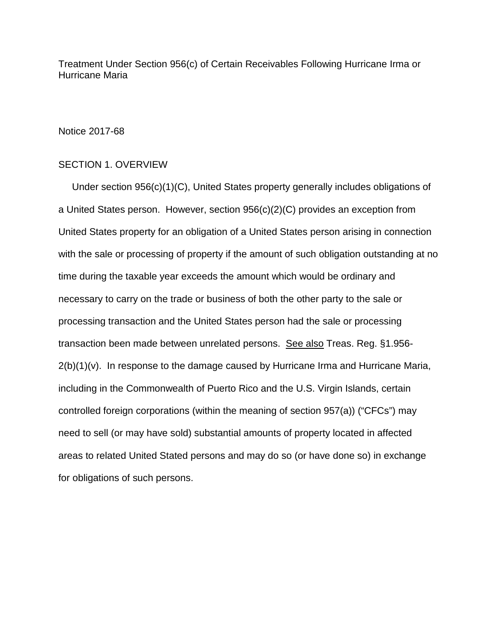Treatment Under Section 956(c) of Certain Receivables Following Hurricane Irma or Hurricane Maria

## Notice 2017-68

## SECTION 1. OVERVIEW

 Under section 956(c)(1)(C), United States property generally includes obligations of a United States person. However, section 956(c)(2)(C) provides an exception from United States property for an obligation of a United States person arising in connection with the sale or processing of property if the amount of such obligation outstanding at no time during the taxable year exceeds the amount which would be ordinary and necessary to carry on the trade or business of both the other party to the sale or processing transaction and the United States person had the sale or processing transaction been made between unrelated persons. See also Treas. Reg. §1.956-  $2(b)(1)(v)$ . In response to the damage caused by Hurricane Irma and Hurricane Maria, including in the Commonwealth of Puerto Rico and the U.S. Virgin Islands, certain controlled foreign corporations (within the meaning of section 957(a)) ("CFCs") may need to sell (or may have sold) substantial amounts of property located in affected areas to related United Stated persons and may do so (or have done so) in exchange for obligations of such persons.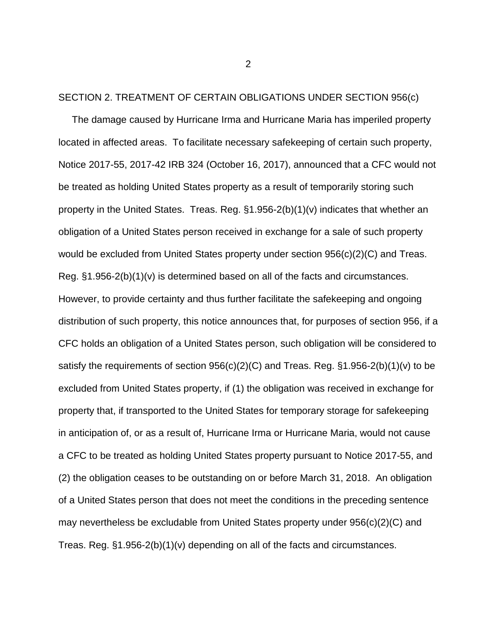## SECTION 2. TREATMENT OF CERTAIN OBLIGATIONS UNDER SECTION 956(c)

 The damage caused by Hurricane Irma and Hurricane Maria has imperiled property located in affected areas. To facilitate necessary safekeeping of certain such property, Notice 2017-55, 2017-42 IRB 324 (October 16, 2017), announced that a CFC would not be treated as holding United States property as a result of temporarily storing such property in the United States. Treas. Reg. §1.956-2(b)(1)(v) indicates that whether an obligation of a United States person received in exchange for a sale of such property would be excluded from United States property under section 956(c)(2)(C) and Treas. Reg. §1.956-2(b)(1)(v) is determined based on all of the facts and circumstances. However, to provide certainty and thus further facilitate the safekeeping and ongoing distribution of such property, this notice announces that, for purposes of section 956, if a CFC holds an obligation of a United States person, such obligation will be considered to satisfy the requirements of section 956(c)(2)(C) and Treas. Reg. §1.956-2(b)(1)(v) to be excluded from United States property, if (1) the obligation was received in exchange for property that, if transported to the United States for temporary storage for safekeeping in anticipation of, or as a result of, Hurricane Irma or Hurricane Maria, would not cause a CFC to be treated as holding United States property pursuant to Notice 2017-55, and (2) the obligation ceases to be outstanding on or before March 31, 2018. An obligation of a United States person that does not meet the conditions in the preceding sentence may nevertheless be excludable from United States property under 956(c)(2)(C) and Treas. Reg. §1.956-2(b)(1)(v) depending on all of the facts and circumstances.

2